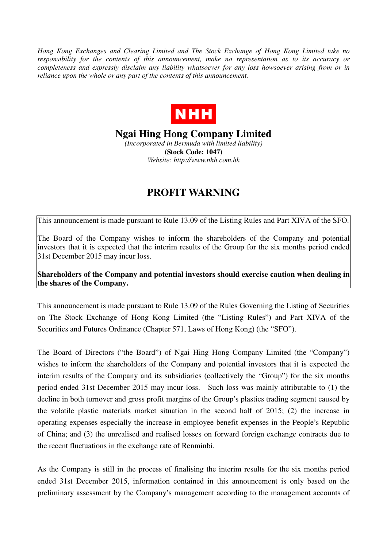*Hong Kong Exchanges and Clearing Limited and The Stock Exchange of Hong Kong Limited take no responsibility for the contents of this announcement, make no representation as to its accuracy or completeness and expressly disclaim any liability whatsoever for any loss howsoever arising from or in reliance upon the whole or any part of the contents of this announcement.* 



**Ngai Hing Hong Company Limited** 

*(Incorporated in Bermuda with limited liability)*  **(Stock Code: 1047)**  *Website: http://www.nhh.com.hk* 

## **PROFIT WARNING**

This announcement is made pursuant to Rule 13.09 of the Listing Rules and Part XIVA of the SFO.

The Board of the Company wishes to inform the shareholders of the Company and potential investors that it is expected that the interim results of the Group for the six months period ended 31st December 2015 may incur loss.

**Shareholders of the Company and potential investors should exercise caution when dealing in the shares of the Company.** 

This announcement is made pursuant to Rule 13.09 of the Rules Governing the Listing of Securities on The Stock Exchange of Hong Kong Limited (the "Listing Rules") and Part XIVA of the Securities and Futures Ordinance (Chapter 571, Laws of Hong Kong) (the "SFO").

The Board of Directors ("the Board") of Ngai Hing Hong Company Limited (the "Company") wishes to inform the shareholders of the Company and potential investors that it is expected the interim results of the Company and its subsidiaries (collectively the "Group") for the six months period ended 31st December 2015 may incur loss. Such loss was mainly attributable to (1) the decline in both turnover and gross profit margins of the Group's plastics trading segment caused by the volatile plastic materials market situation in the second half of 2015; (2) the increase in operating expenses especially the increase in employee benefit expenses in the People's Republic of China; and (3) the unrealised and realised losses on forward foreign exchange contracts due to the recent fluctuations in the exchange rate of Renminbi.

As the Company is still in the process of finalising the interim results for the six months period ended 31st December 2015, information contained in this announcement is only based on the preliminary assessment by the Company's management according to the management accounts of